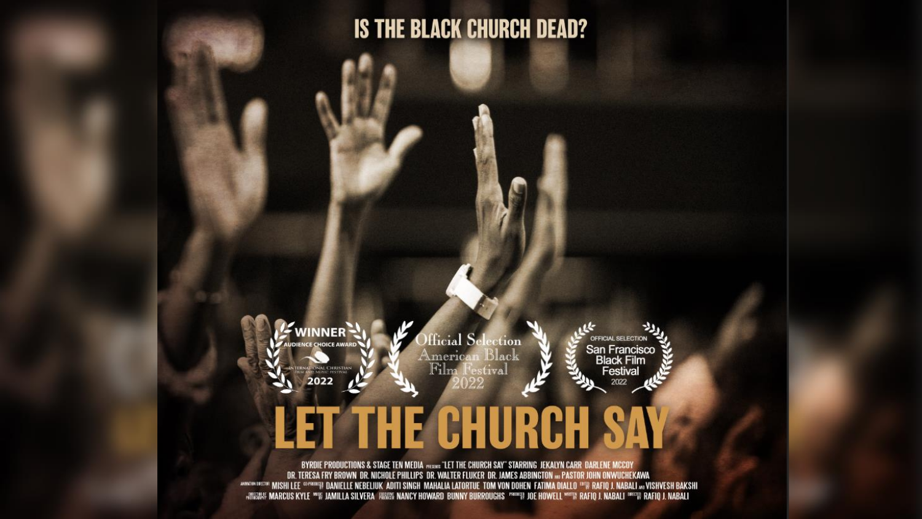#### **IS THE BLACK CHURCH DEAD?**



### **THE CHURCH** Ħ

BYRDIE PRODUCTIONS & STAGE TEN MEDIA MERINE "LET THE CHURCH SAY" STARRING JEKALYN CARR DARLENE MCCOY DR. TERESA FRY BROWN DR. NICHOLE PHILLIPS DR. WALTER FLUKER DR. JAMES ABBINGTON 300 PASTOR JOHN ONWUCHEKAWA wwww.wisipi llee @prouse danielle Nebeliuk Aditi Singh Mahalia Latortue Tom von Dohen Fatima Diallo <sup>(an</sup>) Rafiq J. Nabali <sub>an</sub> VishVesh Bakshi **WESCHE MARCUS KYLE WIF JAMILLA SILVERA FESTIS NANCY HOWARD BUNNY BURROUGHS THREE JOE HOWELL WIFIN RAFIO J. NABALI INCEN RAFIO J. NABALI**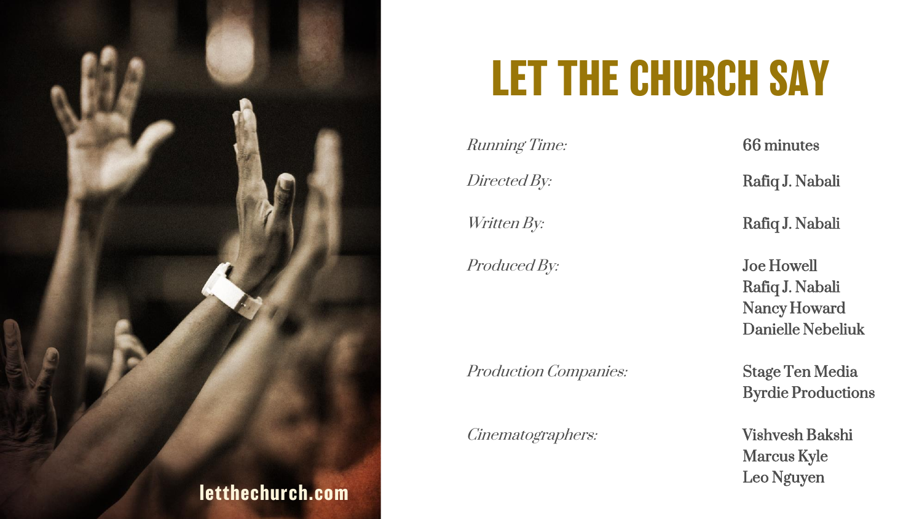

# **LET THE CHURCH SAY**

Running Time: 66 minutes

Produced By: **Joe Howell** 

Production Companies: Stage Ten Media

Cinematographers: Vishvesh Bakshi

Directed By: Rafiq J. Nabali

Written By: **Rafiq J. Nabali** 

Rafiq J. Nabali Nancy Howard Danielle Nebeliuk

Byrdie Productions

Marcus Kyle Leo Nguyen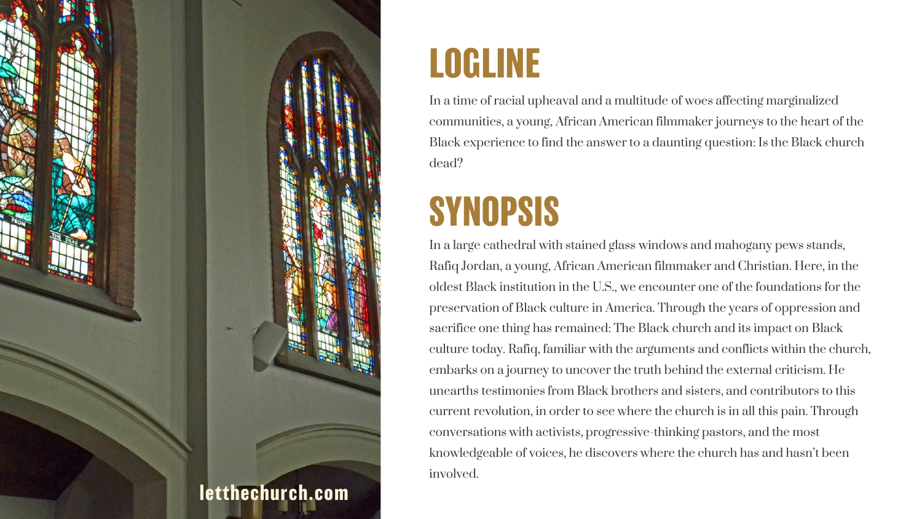

## **LOGLINE**

In a time of racial upheaval and a multitude of woes affecting marginalized communities, a young, African American filmmaker journeys to the heart of the Black experience to find the answer to a daunting question: Is the Black church dead?

## **SYNOPSIS**

In a large cathedral with stained glass windows and mahogany pews stands, Rafiq Jordan, a young, African American filmmaker and Christian. Here, in the oldest Black institution in the U.S., we encounter one of the foundations for the preservation of Black culture in America. Through the years of oppression and sacrifice one thing has remained: The Black church and its impact on Black culture today. Rafiq, familiar with the arguments and conflicts within the church, embarks on a journey to uncover the truth behind the external criticism. He unearths testimonies from Black brothers and sisters, and contributors to this current revolution, in order to see where the church is in all this pain. Through conversations with activists, progressive-thinking pastors, and the most knowledgeable of voices, he discovers where the church has and hasn't been involved.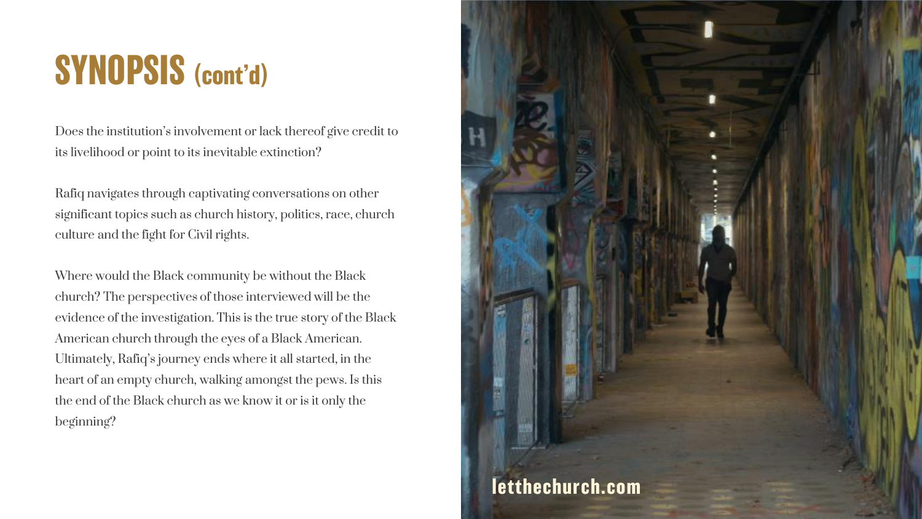## **SYNOPSIS (cont'd)**

Does the institution's involvement or lack thereof give credit to its livelihood or point to its inevitable extinction?

Rafiq navigates through captivating conversations on other significant topics such as church history, politics, race, church culture and the fight for Civil rights.

Where would the Black community be without the Black church? The perspectives of those interviewed will be the evidence of the investigation. This is the true story of the Black American church through the eyes of a Black American. Ultimately, Rafiq's journey ends where it all started, in the heart of an empty church, walking amongst the pews. Is this the end of the Black church as we know it or is it only the beginning?

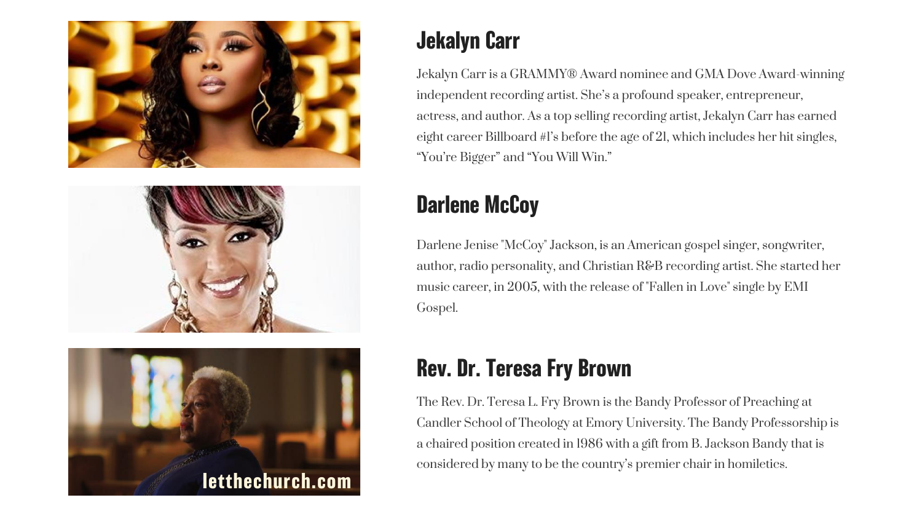





#### **Jekalyn Carr**

Jekalyn Carr is a GRAMMY® Award nominee and GMA Dove Award-winning independent recording artist. She's a profound speaker, entrepreneur, actress, and author. As a top selling recording artist, Jekalyn Carr has earned eight career Billboard #1's before the age of 21, which includes her hit singles, "You're Bigger" and "You Will Win."

## **Darlene McCoy**

Darlene Jenise "McCoy" Jackson, is an American gospel singer, songwriter, author, radio personality, and Christian R&B recording artist. She started her music career, in 2005, with the release of "Fallen in Love" single by EMI Gospel.

## **Rev. Dr. Teresa Fry Brown**

The Rev. Dr. Teresa L. Fry Brown is the Bandy Professor of Preaching at Candler School of Theology at Emory University. The Bandy Professorship is a chaired position created in 1986 with a gift from B. Jackson Bandy that is considered by many to be the country's premier chair in homiletics.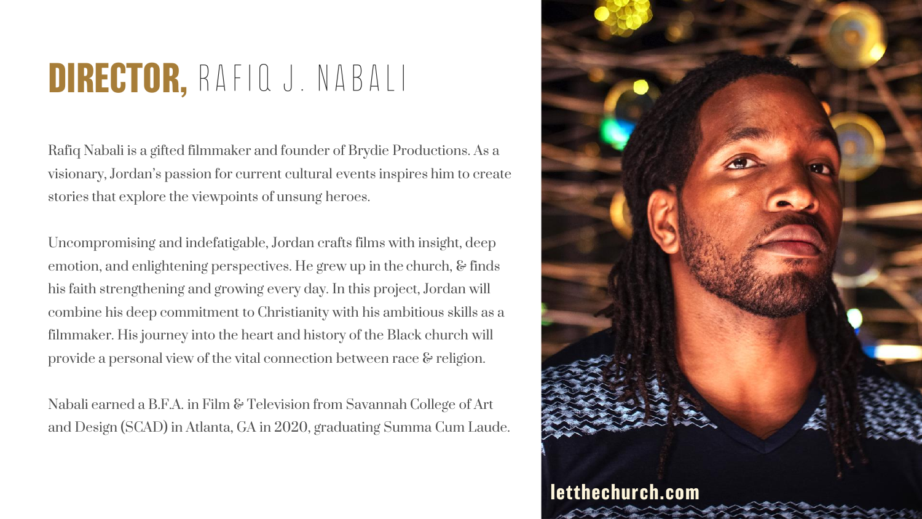## **DIRECTOR,** Rafiq J. Nabali

Rafiq Nabali is a gifted filmmaker and founder of Brydie Productions. As a visionary, Jordan's passion for current cultural events inspires him to create stories that explore the viewpoints of unsung heroes.

Uncompromising and indefatigable, Jordan crafts films with insight, deep emotion, and enlightening perspectives. He grew up in the church, & finds his faith strengthening and growing every day. In this project, Jordan will combine his deep commitment to Christianity with his ambitious skills as a filmmaker. His journey into the heart and history of the Black church will provide a personal view of the vital connection between race & religion.

Nabali earned a B.F.A. in Film & Television from Savannah College of Art and Design (SCAD) in Atlanta, GA in 2020, graduating Summa Cum Laude.

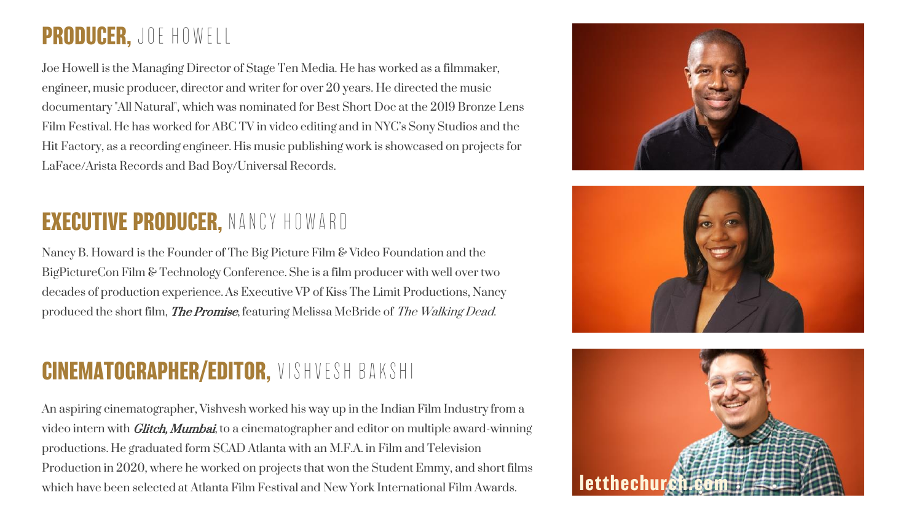#### **PRODUCER,** Joe Howell

Joe Howell is the Managing Director of Stage Ten Media. He has worked as a filmmaker, engineer, music producer, director and writer for over 20 years. He directed the music documentary "All Natural", which was nominated for Best Short Doc at the 2019 Bronze Lens Film Festival. He has worked for ABC TV in video editing and in NYC's Sony Studios and the Hit Factory, as a recording engineer. His music publishing work is showcased on projects for LaFace/Arista Records and Bad Boy/Universal Records.

#### **EXECUTIVE PRODUCER,** Nancy Howard

Nancy B. Howard is the Founder of The Big Picture Film & Video Foundation and the BigPictureCon Film & Technology Conference. She is a film producer with well over two decades of production experience. As Executive VP of Kiss The Limit Productions, Nancy produced the short film, **The Promise**, featuring Melissa McBride of The Walking Dead.

#### **CINEMATOGRAPHER/EDITOR,** Vishvesh Bakshi

An aspiring cinematographer, Vishvesh worked his way up in the Indian Film Industry from a video intern with *Glitch, Mumbai*, to a cinematographer and editor on multiple award-winning productions. He graduated form SCAD Atlanta with an M.F.A. in Film and Television Production in 2020, where he worked on projects that won the Student Emmy, and short films which have been selected at Atlanta Film Festival and New York International Film Awards.





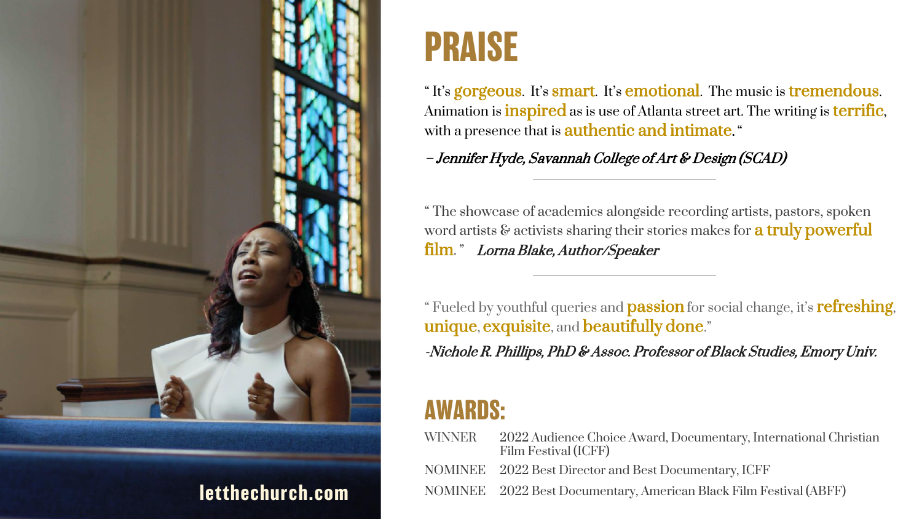

## **PRAISE**

"It's gorgeous. It's smart. It's emotional. The music is tremendous. Animation is **inspired** as is use of Atlanta street art. The writing is **terrific**, with a presence that is **authentic and intimate.** "

– Jennifer Hyde, Savannah College of Art & Design (SCAD)

" The showcase of academics alongside recording artists, pastors, spoken word artists & activists sharing their stories makes for **a truly powerful** film." Lorna Blake, Author/Speaker

" Fueled by youthful queries and **passion** for social change, it's **refreshing**, unique, exquisite, and beautifully done."

-Nichole R. Phillips, PhD & Assoc. Professor of Black Studies, Emory Univ.

## **AWARDS:**

| <b>WINNER</b> | 2022 Audience Choice Award, Documentary, International Christian<br>Film Festival (ICFF) |
|---------------|------------------------------------------------------------------------------------------|
|               | NOMINEE 2022 Best Director and Best Documentary, ICFF                                    |
|               | NOMINEE 2022 Best Documentary, American Black Film Festival (ABFF)                       |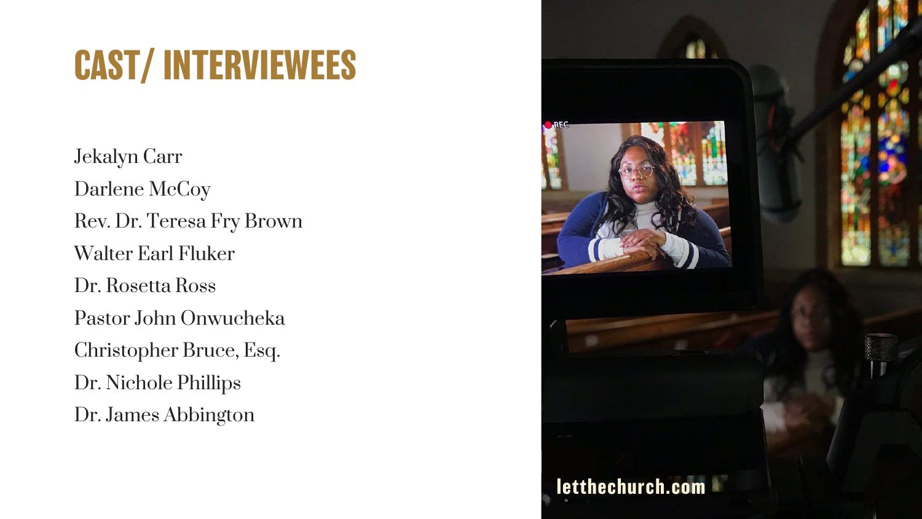# **CAST/ INTERVIEWEES**

Jekalyn Carr Darlene McCoy Rev. Dr. Teresa Fry Brown Walter Earl Fluker Dr. Rosetta Ross Pastor John Onwucheka Christopher Bruce, Esq. Dr. Nichole Phillips Dr. James Abbington

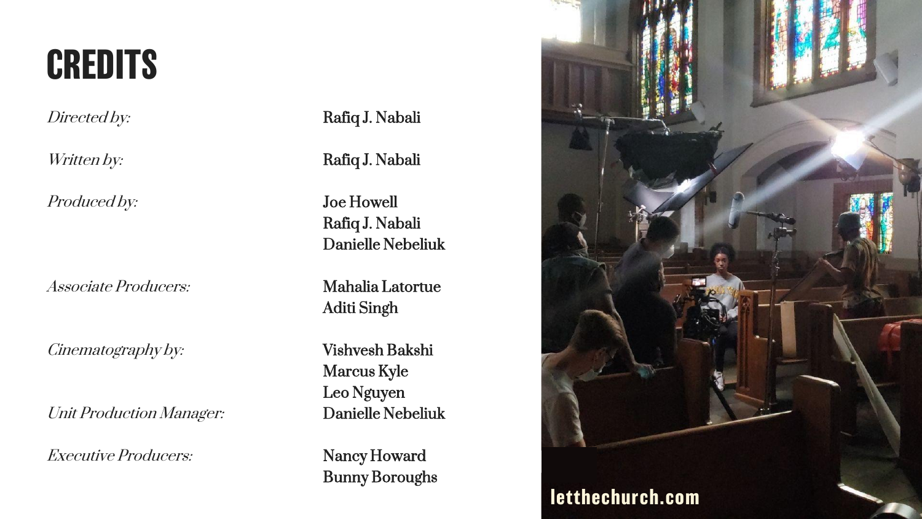## **CREDITS**

Produced by: **Joe Howell** 

Associate Producers: Mahalia Latortue

Cinematography by: Vishvesh Bakshi

Unit Production Manager: Danielle Nebeliuk

Executive Producers: Nancy Howard

Directed by: Rafiq J. Nabali

Written by: **Rafiq J. Nabali** 

Rafiq J. Nabali Danielle Nebeliuk

Aditi Singh

Marcus Kyle Leo Nguyen

Bunny Boroughs